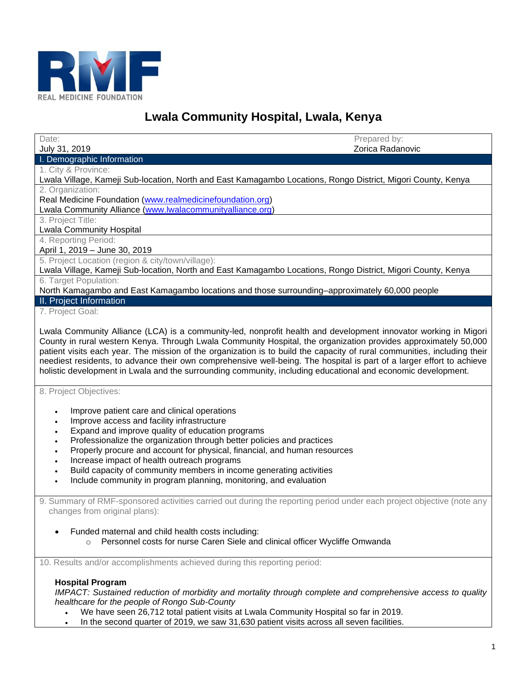

# **Lwala Community Hospital, Lwala, Kenya**

| Date:                                                                                                                    | Prepared by:<br>Zorica Radanovic |
|--------------------------------------------------------------------------------------------------------------------------|----------------------------------|
| July 31, 2019<br>I. Demographic Information                                                                              |                                  |
| 1. City & Province:                                                                                                      |                                  |
| Lwala Village, Kameji Sub-location, North and East Kamagambo Locations, Rongo District, Migori County, Kenya             |                                  |
| 2. Organization:                                                                                                         |                                  |
| Real Medicine Foundation (www.realmedicinefoundation.org)                                                                |                                  |
| Lwala Community Alliance (www.lwalacommunityalliance.org)                                                                |                                  |
| 3. Project Title:                                                                                                        |                                  |
| <b>Lwala Community Hospital</b>                                                                                          |                                  |
| 4. Reporting Period:<br>April 1, 2019 - June 30, 2019                                                                    |                                  |
| 5. Project Location (region & city/town/village):                                                                        |                                  |
| Lwala Village, Kameji Sub-location, North and East Kamagambo Locations, Rongo District, Migori County, Kenya             |                                  |
| 6. Target Population:                                                                                                    |                                  |
| North Kamagambo and East Kamagambo locations and those surrounding-approximately 60,000 people                           |                                  |
| II. Project Information                                                                                                  |                                  |
| 7. Project Goal:                                                                                                         |                                  |
| Lwala Community Alliance (LCA) is a community-led, nonprofit health and development innovator working in Migori          |                                  |
| County in rural western Kenya. Through Lwala Community Hospital, the organization provides approximately 50,000          |                                  |
| patient visits each year. The mission of the organization is to build the capacity of rural communities, including their |                                  |
| neediest residents, to advance their own comprehensive well-being. The hospital is part of a larger effort to achieve    |                                  |
| holistic development in Lwala and the surrounding community, including educational and economic development.             |                                  |
|                                                                                                                          |                                  |
| 8. Project Objectives:                                                                                                   |                                  |
|                                                                                                                          |                                  |
| Improve patient care and clinical operations<br>$\bullet$                                                                |                                  |
| Improve access and facility infrastructure<br>$\bullet$                                                                  |                                  |
| Expand and improve quality of education programs<br>$\bullet$                                                            |                                  |
| Professionalize the organization through better policies and practices<br>$\bullet$                                      |                                  |
| Properly procure and account for physical, financial, and human resources<br>$\bullet$                                   |                                  |
| Increase impact of health outreach programs<br>$\bullet$                                                                 |                                  |
| Build capacity of community members in income generating activities<br>$\bullet$                                         |                                  |
| Include community in program planning, monitoring, and evaluation                                                        |                                  |
| 9. Summary of RMF-sponsored activities carried out during the reporting period under each project objective (note any    |                                  |
| changes from original plans):                                                                                            |                                  |
|                                                                                                                          |                                  |
| Funded maternal and child health costs including:                                                                        |                                  |
| Personnel costs for nurse Caren Siele and clinical officer Wycliffe Omwanda<br>$\Omega$                                  |                                  |
|                                                                                                                          |                                  |
| 10. Results and/or accomplishments achieved during this reporting period:                                                |                                  |
|                                                                                                                          |                                  |
| <b>Hospital Program</b>                                                                                                  |                                  |
| IMPACT: Sustained reduction of morbidity and mortality through complete and comprehensive access to quality              |                                  |
| healthcare for the people of Rongo Sub-County                                                                            |                                  |
| We have seen 26,712 total patient visits at Lwala Community Hospital so far in 2019.                                     |                                  |
| In the second quarter of 2019, we saw 31,630 patient visits across all seven facilities.                                 |                                  |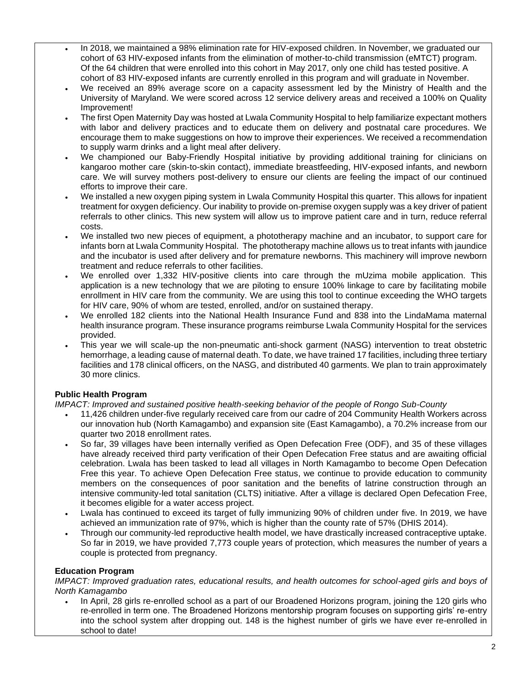- In 2018, we maintained a 98% elimination rate for HIV-exposed children. In November, we graduated our cohort of 63 HIV-exposed infants from the elimination of mother-to-child transmission (eMTCT) program. Of the 64 children that were enrolled into this cohort in May 2017, only one child has tested positive. A cohort of 83 HIV-exposed infants are currently enrolled in this program and will graduate in November.
- We received an 89% average score on a capacity assessment led by the Ministry of Health and the University of Maryland. We were scored across 12 service delivery areas and received a 100% on Quality Improvement!
- The first Open Maternity Day was hosted at Lwala Community Hospital to help familiarize expectant mothers with labor and delivery practices and to educate them on delivery and postnatal care procedures. We encourage them to make suggestions on how to improve their experiences. We received a recommendation to supply warm drinks and a light meal after delivery.
- We championed our Baby-Friendly Hospital initiative by providing additional training for clinicians on kangaroo mother care (skin-to-skin contact), immediate breastfeeding, HIV-exposed infants, and newborn care. We will survey mothers post-delivery to ensure our clients are feeling the impact of our continued efforts to improve their care.
- We installed a new oxygen piping system in Lwala Community Hospital this quarter. This allows for inpatient treatment for oxygen deficiency. Our inability to provide on-premise oxygen supply was a key driver of patient referrals to other clinics. This new system will allow us to improve patient care and in turn, reduce referral costs.
- We installed two new pieces of equipment, a phototherapy machine and an incubator, to support care for infants born at Lwala Community Hospital. The phototherapy machine allows us to treat infants with jaundice and the incubator is used after delivery and for premature newborns. This machinery will improve newborn treatment and reduce referrals to other facilities.
- We enrolled over 1,332 HIV-positive clients into care through the mUzima mobile application. This application is a new technology that we are piloting to ensure 100% linkage to care by facilitating mobile enrollment in HIV care from the community. We are using this tool to continue exceeding the WHO targets for HIV care, 90% of whom are tested, enrolled, and/or on sustained therapy.
- We enrolled 182 clients into the National Health Insurance Fund and 838 into the LindaMama maternal health insurance program. These insurance programs reimburse Lwala Community Hospital for the services provided.
- This year we will scale-up the non-pneumatic anti-shock garment (NASG) intervention to treat obstetric hemorrhage, a leading cause of maternal death. To date, we have trained 17 facilities, including three tertiary facilities and 178 clinical officers, on the NASG, and distributed 40 garments. We plan to train approximately 30 more clinics.

# **Public Health Program**

*IMPACT: Improved and sustained positive health-seeking behavior of the people of Rongo Sub-County*

- 11,426 children under-five regularly received care from our cadre of 204 Community Health Workers across our innovation hub (North Kamagambo) and expansion site (East Kamagambo), a 70.2% increase from our quarter two 2018 enrollment rates.
- So far, 39 villages have been internally verified as Open Defecation Free (ODF), and 35 of these villages have already received third party verification of their Open Defecation Free status and are awaiting official celebration. Lwala has been tasked to lead all villages in North Kamagambo to become Open Defecation Free this year. To achieve Open Defecation Free status, we continue to provide education to community members on the consequences of poor sanitation and the benefits of latrine construction through an intensive community-led total sanitation (CLTS) initiative. After a village is declared Open Defecation Free, it becomes eligible for a water access project.
- Lwala has continued to exceed its target of fully immunizing 90% of children under five. In 2019, we have achieved an immunization rate of 97%, which is higher than the county rate of 57% (DHIS 2014).
- Through our community-led reproductive health model, we have drastically increased contraceptive uptake. So far in 2019, we have provided 7,773 couple years of protection, which measures the number of years a couple is protected from pregnancy.

# **Education Program**

*IMPACT: Improved graduation rates, educational results, and health outcomes for school-aged girls and boys of North Kamagambo*

• In April, 28 girls re-enrolled school as a part of our Broadened Horizons program, joining the 120 girls who re-enrolled in term one. The Broadened Horizons mentorship program focuses on supporting girls' re-entry into the school system after dropping out. 148 is the highest number of girls we have ever re-enrolled in school to date!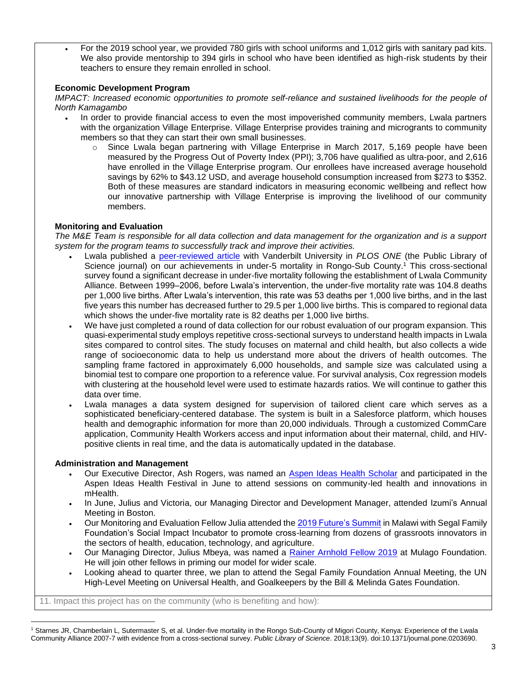• For the 2019 school year, we provided 780 girls with school uniforms and 1,012 girls with sanitary pad kits. We also provide mentorship to 394 girls in school who have been identified as high-risk students by their teachers to ensure they remain enrolled in school.

## **Economic Development Program**

*IMPACT: Increased economic opportunities to promote self-reliance and sustained livelihoods for the people of North Kamagambo*

- In order to provide financial access to even the most impoverished community members, Lwala partners with the organization Village Enterprise. Village Enterprise provides training and microgrants to community members so that they can start their own small businesses.
	- $\circ$  Since Lwala began partnering with Village Enterprise in March 2017, 5,169 people have been measured by the Progress Out of Poverty Index (PPI); 3,706 have qualified as ultra-poor, and 2,616 have enrolled in the Village Enterprise program. Our enrollees have increased average household savings by 62% to \$43.12 USD, and average household consumption increased from \$273 to \$352. Both of these measures are standard indicators in measuring economic wellbeing and reflect how our innovative partnership with Village Enterprise is improving the livelihood of our community members.

## **Monitoring and Evaluation**

*The M&E Team is responsible for all data collection and data management for the organization and is a support system for the program teams to successfully track and improve their activities.* 

- Lwala published a [peer-reviewed article](https://journals.plos.org/plosone/article?id=10.1371/journal.pone.0203690) with Vanderbilt University in *PLOS ONE* (the Public Library of Science journal) on our achievements in under-5 mortality in Rongo-Sub County.<sup>1</sup> This cross-sectional survey found a significant decrease in under-five mortality following the establishment of Lwala Community Alliance. Between 1999–2006, before Lwala's intervention, the under-five mortality rate was 104.8 deaths per 1,000 live births. After Lwala's intervention, this rate was 53 deaths per 1,000 live births, and in the last five years this number has decreased further to 29.5 per 1,000 live births. This is compared to regional data which shows the under-five mortality rate is 82 deaths per 1,000 live births.
- We have just completed a round of data collection for our robust evaluation of our program expansion. This quasi-experimental study employs repetitive cross-sectional surveys to understand health impacts in Lwala sites compared to control sites. The study focuses on maternal and child health, but also collects a wide range of socioeconomic data to help us understand more about the drivers of health outcomes. The sampling frame factored in approximately 6,000 households, and sample size was calculated using a binomial test to compare one proportion to a reference value. For survival analysis, Cox regression models with clustering at the household level were used to estimate hazards ratios. We will continue to gather this data over time.
- Lwala manages a data system designed for supervision of tailored client care which serves as a sophisticated beneficiary-centered database. The system is built in a Salesforce platform, which houses health and demographic information for more than 20,000 individuals. Through a customized CommCare application, Community Health Workers access and input information about their maternal, child, and HIVpositive clients in real time, and the data is automatically updated in the database.

## **Administration and Management**

- Our Executive Director, Ash Rogers, was named an [Aspen Ideas Health Scholar](https://www.aspenideas.org/pages/2019-aspen-ideas-festival-scholars) and participated in the Aspen Ideas Health Festival in June to attend sessions on community-led health and innovations in mHealth.
- In June, Julius and Victoria, our Managing Director and Development Manager, attended Izumi's Annual Meeting in Boston.
- Our Monitoring and Evaluation Fellow Julia attended the [2019 Future's Summit](https://www.segalfamilyfoundation.org/sii/) in Malawi with Segal Family Foundation's Social Impact Incubator to promote cross-learning from dozens of grassroots innovators in the sectors of health, education, technology, and agriculture.
- Our Managing Director, Julius Mbeya, was named a [Rainer Arnhold Fellow 2019](https://mulagofoundation.org/fellows/rainer-fellows) at Mulago Foundation. He will join other fellows in priming our model for wider scale.
- Looking ahead to quarter three, we plan to attend the Segal Family Foundation Annual Meeting, the UN High-Level Meeting on Universal Health, and Goalkeepers by the Bill & Melinda Gates Foundation.

11. Impact this project has on the community (who is benefiting and how):

<sup>1</sup> Starnes JR, Chamberlain L, Sutermaster S, et al. Under-five mortality in the Rongo Sub-County of Migori County, Kenya: Experience of the Lwala Community Alliance 2007-7 with evidence from a cross-sectional survey. *Public Library of Science*. 2018;13(9). doi:10.1371/journal.pone.0203690.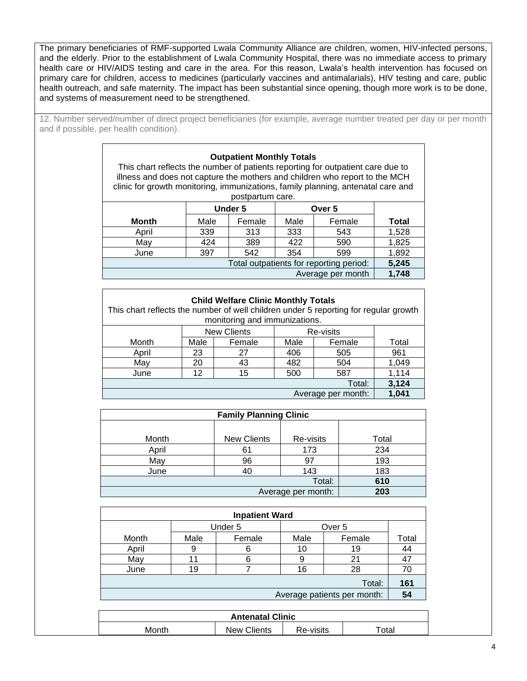The primary beneficiaries of RMF-supported Lwala Community Alliance are children, women, HIV-infected persons, and the elderly. Prior to the establishment of Lwala Community Hospital, there was no immediate access to primary health care or HIV/AIDS testing and care in the area. For this reason, Lwala's health intervention has focused on primary care for children, access to medicines (particularly vaccines and antimalarials), HIV testing and care, public health outreach, and safe maternity. The impact has been substantial since opening, though more work is to be done, and systems of measurement need to be strengthened.

12. Number served/number of direct project beneficiaries (for example, average number treated per day or per month and if possible, per health condition).

#### **Outpatient Monthly Totals**

This chart reflects the number of patients reporting for outpatient care due to illness and does not capture the mothers and children who report to the MCH clinic for growth monitoring, immunizations, family planning, antenatal care and postpartum care.

|       |      | poolparlam varv. |      |                                         |              |
|-------|------|------------------|------|-----------------------------------------|--------------|
|       |      | <b>Under 5</b>   |      | Over 5                                  |              |
| Month | Male | Female           | Male | Female                                  | <b>Total</b> |
| April | 339  | 313              | 333  | 543                                     | 1,528        |
| May   | 424  | 389              | 422  | 590                                     | 1,825        |
| June  | 397  | 542              | 354  | 599                                     | 1,892        |
|       |      |                  |      | Total outpatients for reporting period: | 5,245        |
|       |      |                  |      | Average per month                       | 1,748        |

| <b>Child Welfare Clinic Monthly Totals</b><br>This chart reflects the number of well children under 5 reporting for regular growth<br>monitoring and immunizations. |                             |                    |        |           |       |  |  |  |
|---------------------------------------------------------------------------------------------------------------------------------------------------------------------|-----------------------------|--------------------|--------|-----------|-------|--|--|--|
|                                                                                                                                                                     |                             | <b>New Clients</b> |        | Re-visits |       |  |  |  |
| Month<br>Male<br>Female                                                                                                                                             |                             | Male               | Female | Total     |       |  |  |  |
| April                                                                                                                                                               | 23                          | 27                 |        | 505       | 961   |  |  |  |
| May                                                                                                                                                                 | 43<br>20                    |                    | 482    | 504       | 1,049 |  |  |  |
| June                                                                                                                                                                | 500<br>12<br>587<br>15      |                    |        |           | 1,114 |  |  |  |
|                                                                                                                                                                     | 3,124<br>Total:             |                    |        |           |       |  |  |  |
|                                                                                                                                                                     | 1,041<br>Average per month: |                    |        |           |       |  |  |  |

| <b>Family Planning Clinic</b> |                    |           |       |  |  |  |
|-------------------------------|--------------------|-----------|-------|--|--|--|
|                               |                    |           |       |  |  |  |
| Month                         | <b>New Clients</b> | Re-visits | Total |  |  |  |
| April                         | 61                 | 173       | 234   |  |  |  |
| May                           | 96                 | 97        | 193   |  |  |  |
| June                          | 40                 | 143       | 183   |  |  |  |
|                               |                    | Total:    | 610   |  |  |  |
|                               | 203                |           |       |  |  |  |

| <b>Inpatient Ward</b> |         |         |                   |                             |       |  |
|-----------------------|---------|---------|-------------------|-----------------------------|-------|--|
|                       |         | Under 5 | Over <sub>5</sub> |                             |       |  |
| Month                 | Male    | Female  | Male              | Female                      | Total |  |
| April                 |         | 6       | 10                | 19                          | 44    |  |
| May                   | 11<br>6 |         | 9                 | 21                          | 47    |  |
| June                  | 19      |         | 16                | 28                          | 70    |  |
| Total:                |         |         |                   |                             |       |  |
|                       |         |         |                   | Average patients per month: | 54    |  |

| <b>Antenatal Clinic</b> |                    |           |                   |  |
|-------------------------|--------------------|-----------|-------------------|--|
| Month                   | <b>New Clients</b> | Re-visits | <sup>-</sup> otal |  |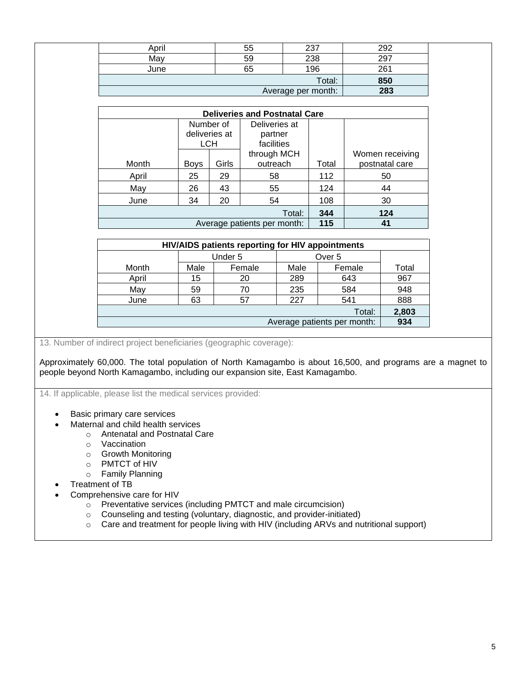| April | 55  | つつつ | ററ  |
|-------|-----|-----|-----|
| Mav   | 59  | 238 | 297 |
| June  | 65  | 196 | 261 |
|       | 850 |     |     |
|       | 283 |     |     |

| <b>Deliveries and Postnatal Care</b> |             |               |                             |       |                 |  |  |
|--------------------------------------|-------------|---------------|-----------------------------|-------|-----------------|--|--|
|                                      |             | Number of     | Deliveries at               |       |                 |  |  |
|                                      |             | deliveries at | partner                     |       |                 |  |  |
|                                      | <b>LCH</b>  |               | facilities                  |       |                 |  |  |
|                                      |             |               | through MCH                 |       | Women receiving |  |  |
| Month                                | <b>Boys</b> | Girls         | outreach                    | Total | postnatal care  |  |  |
| April                                | 25<br>29    |               | 58                          | 112   | 50              |  |  |
| May                                  | 26          | 43            | 55                          | 124   | 44              |  |  |
| 34<br>20<br>June                     |             |               | 54                          | 108   | 30              |  |  |
|                                      |             | 344           | 124                         |       |                 |  |  |
|                                      |             |               | Average patients per month: | 115   | 41              |  |  |

| <b>HIV/AIDS patients reporting for HIV appointments</b> |          |         |                   |                             |       |  |
|---------------------------------------------------------|----------|---------|-------------------|-----------------------------|-------|--|
|                                                         |          | Under 5 | Over <sub>5</sub> |                             |       |  |
| Month                                                   | Male     | Female  | Male              | Female                      | Total |  |
| April                                                   | 15       | 20      | 289               | 643                         | 967   |  |
| May                                                     | 59<br>70 |         | 235               | 584                         | 948   |  |
| June                                                    | 63<br>57 |         | 227               | 541                         | 888   |  |
| Total:                                                  |          |         |                   |                             |       |  |
|                                                         |          |         |                   | Average patients per month: | 934   |  |

13. Number of indirect project beneficiaries (geographic coverage):

Approximately 60,000. The total population of North Kamagambo is about 16,500, and programs are a magnet to people beyond North Kamagambo, including our expansion site, East Kamagambo.

14. If applicable, please list the medical services provided:

- Basic primary care services
- Maternal and child health services
	- o Antenatal and Postnatal Care
		- o Vaccination
		- o Growth Monitoring
		- o PMTCT of HIV
		- o Family Planning
- Treatment of TB
- Comprehensive care for HIV
	- $\circ$  Preventative services (including PMTCT and male circumcision)
	- o Counseling and testing (voluntary, diagnostic, and provider-initiated)
	- o Care and treatment for people living with HIV (including ARVs and nutritional support)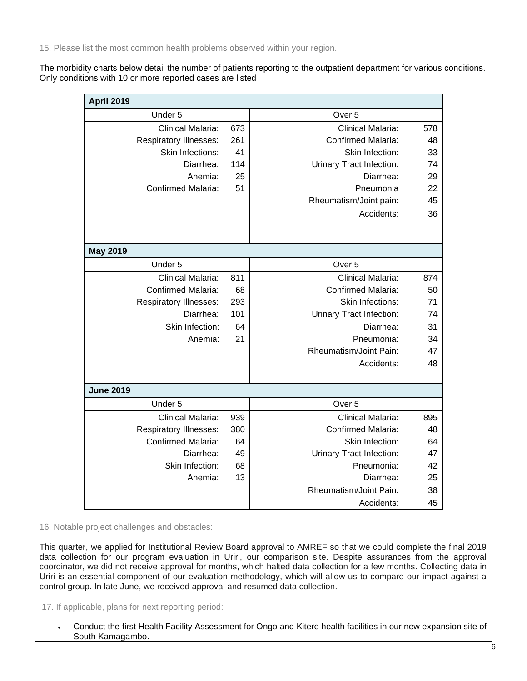15. Please list the most common health problems observed within your region.

The morbidity charts below detail the number of patients reporting to the outpatient department for various conditions. Only conditions with 10 or more reported cases are listed

| <b>April 2019</b>             |     |                           |     |
|-------------------------------|-----|---------------------------|-----|
| Under 5                       |     | Over <sub>5</sub>         |     |
| Clinical Malaria:             | 673 | Clinical Malaria:         | 578 |
| <b>Respiratory Illnesses:</b> | 261 | <b>Confirmed Malaria:</b> | 48  |
| Skin Infections:              | 41  | Skin Infection:           | 33  |
| Diarrhea:                     | 114 | Urinary Tract Infection:  | 74  |
| Anemia:                       | 25  | Diarrhea:                 | 29  |
| <b>Confirmed Malaria:</b>     | 51  | Pneumonia                 | 22  |
|                               |     | Rheumatism/Joint pain:    | 45  |
|                               |     | Accidents:                | 36  |
|                               |     |                           |     |
| <b>May 2019</b>               |     |                           |     |
| Under 5                       |     | Over <sub>5</sub>         |     |
| Clinical Malaria:             | 811 | Clinical Malaria:         | 874 |
| <b>Confirmed Malaria:</b>     | 68  | <b>Confirmed Malaria:</b> | 50  |
| <b>Respiratory Illnesses:</b> | 293 | <b>Skin Infections:</b>   | 71  |
| Diarrhea:                     | 101 | Urinary Tract Infection:  | 74  |
| Skin Infection:               | 64  | Diarrhea:                 | 31  |
| Anemia:                       | 21  | Pneumonia:                | 34  |
|                               |     | Rheumatism/Joint Pain:    | 47  |
|                               |     | Accidents:                | 48  |
| <b>June 2019</b>              |     |                           |     |
| Under 5                       |     | Over 5                    |     |
| Clinical Malaria:             | 939 | Clinical Malaria:         | 895 |
| <b>Respiratory Illnesses:</b> | 380 | <b>Confirmed Malaria:</b> | 48  |
| <b>Confirmed Malaria:</b>     | 64  | Skin Infection:           | 64  |
| Diarrhea:                     | 49  | Urinary Tract Infection:  | 47  |
| Skin Infection:               | 68  | Pneumonia:                | 42  |
| Anemia:                       | 13  | Diarrhea:                 | 25  |
|                               |     | Rheumatism/Joint Pain:    | 38  |
|                               |     | Accidents:                | 45  |

16. Notable project challenges and obstacles:

This quarter, we applied for Institutional Review Board approval to AMREF so that we could complete the final 2019 data collection for our program evaluation in Uriri, our comparison site. Despite assurances from the approval coordinator, we did not receive approval for months, which halted data collection for a few months. Collecting data in Uriri is an essential component of our evaluation methodology, which will allow us to compare our impact against a control group. In late June, we received approval and resumed data collection.

17. If applicable, plans for next reporting period:

• Conduct the first Health Facility Assessment for Ongo and Kitere health facilities in our new expansion site of South Kamagambo.